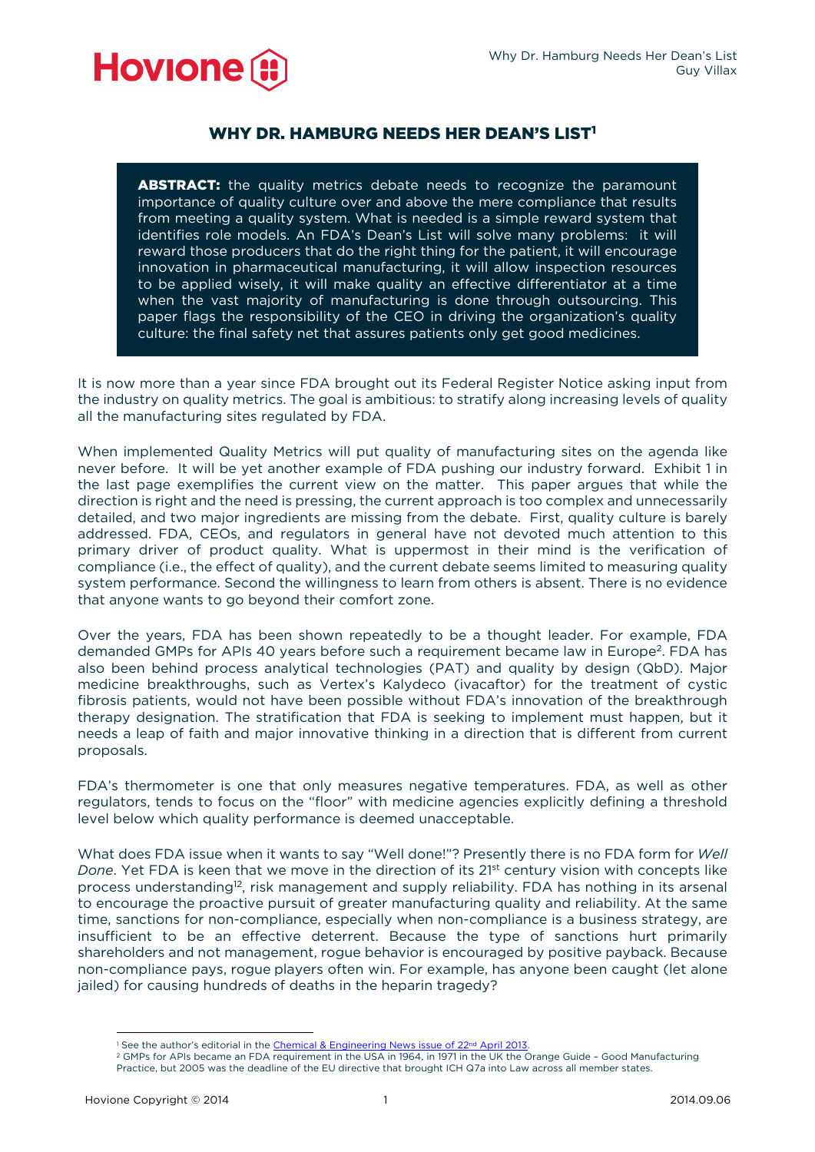

# WHY DR. HAMBURG NEEDS HER DEAN'S LIST<sup>1</sup>

**ABSTRACT:** the quality metrics debate needs to recognize the paramount importance of quality culture over and above the mere compliance that results from meeting a quality system. What is needed is a simple reward system that identifies role models. An FDA's Dean's List will solve many problems: it will reward those producers that do the right thing for the patient, it will encourage innovation in pharmaceutical manufacturing, it will allow inspection resources to be applied wisely, it will make quality an effective differentiator at a time when the vast majority of manufacturing is done through outsourcing. This paper flags the responsibility of the CEO in driving the organization's quality culture: the final safety net that assures patients only get good medicines.

It is now more than a year since FDA brought out its Federal Register Notice asking input from the industry on quality metrics. The goal is ambitious: to stratify along increasing levels of quality all the manufacturing sites regulated by FDA.

When implemented Quality Metrics will put quality of manufacturing sites on the agenda like never before. It will be yet another example of FDA pushing our industry forward. Exhibit 1 in the last page exemplifies the current view on the matter. This paper argues that while the direction is right and the need is pressing, the current approach is too complex and unnecessarily detailed, and two major ingredients are missing from the debate. First, quality culture is barely addressed. FDA, CEOs, and regulators in general have not devoted much attention to this primary driver of product quality. What is uppermost in their mind is the verification of compliance (i.e., the effect of quality), and the current debate seems limited to measuring quality system performance. Second the willingness to learn from others is absent. There is no evidence that anyone wants to go beyond their comfort zone.

Over the years, FDA has been shown repeatedly to be a thought leader. For example, FDA demanded GMPs for APIs 40 years before such a requirement became law in Europe2. FDA has also been behind process analytical technologies (PAT) and quality by design (QbD). Major medicine breakthroughs, such as Vertex's Kalydeco (ivacaftor) for the treatment of cystic fibrosis patients, would not have been possible without FDA's innovation of the breakthrough therapy designation. The stratification that FDA is seeking to implement must happen, but it needs a leap of faith and major innovative thinking in a direction that is different from current proposals.

FDA's thermometer is one that only measures negative temperatures. FDA, as well as other regulators, tends to focus on the "floor" with medicine agencies explicitly defining a threshold level below which quality performance is deemed unacceptable.

What does FDA issue when it wants to say "Well done!"? Presently there is no FDA form for *Well Done.* Yet FDA is keen that we move in the direction of its 21<sup>st</sup> century vision with concepts like process understanding12, risk management and supply reliability. FDA has nothing in its arsenal to encourage the proactive pursuit of greater manufacturing quality and reliability. At the same time, sanctions for non-compliance, especially when non-compliance is a business strategy, are insufficient to be an effective deterrent. Because the type of sanctions hurt primarily shareholders and not management, rogue behavior is encouraged by positive payback. Because non-compliance pays, rogue players often win. For example, has anyone been caught (let alone jailed) for causing hundreds of deaths in the heparin tragedy?

<sup>&</sup>lt;sup>1</sup> See the author's editorial in the Chemical & Engineering News issue of 22<sup>nd</sup> April 2013.

<sup>&</sup>lt;sup>2</sup> GMPs for APIs became an FDA requirement in the USA in 1964, in 1971 in the UK the Orange Guide - Good Manufacturing Practice, but 2005 was the deadline of the EU directive that brought ICH Q7a into Law across all member states.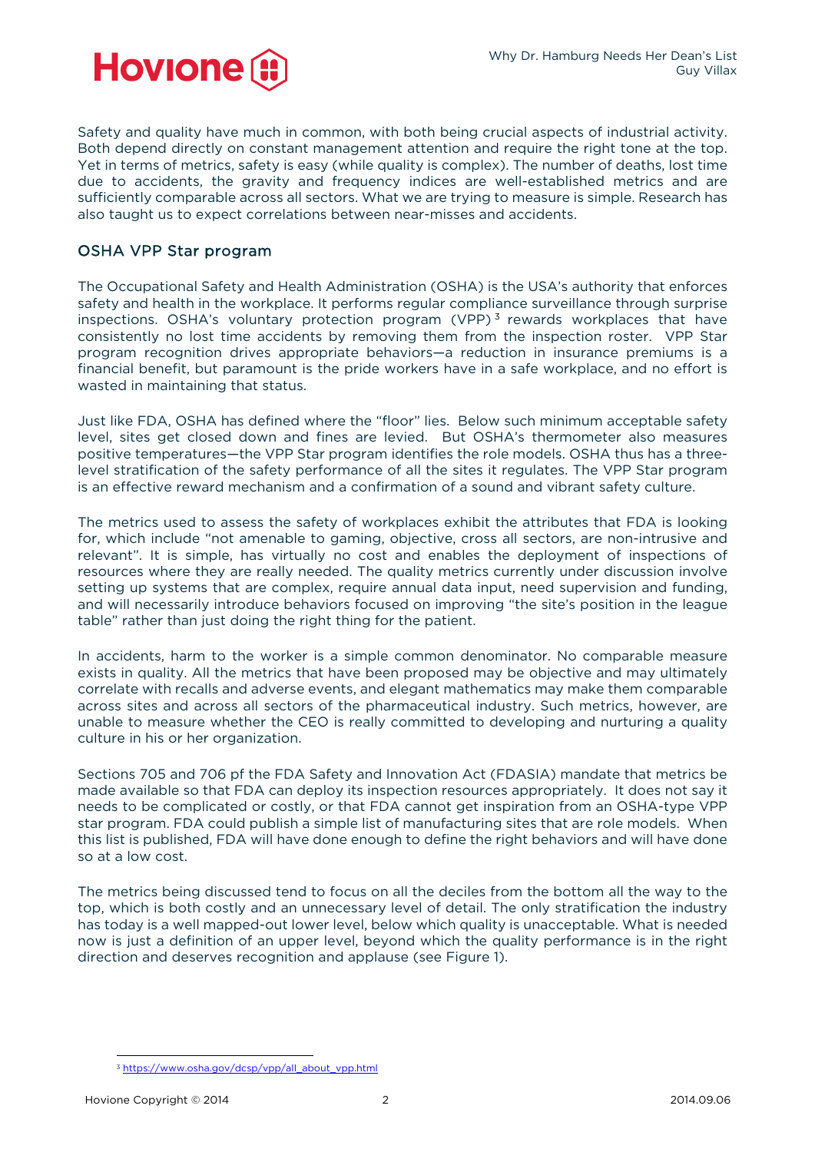

Safety and quality have much in common, with both being crucial aspects of industrial activity. Both depend directly on constant management attention and require the right tone at the top. Yet in terms of metrics, safety is easy (while quality is complex). The number of deaths, lost time due to accidents, the gravity and frequency indices are well-established metrics and are sufficiently comparable across all sectors. What we are trying to measure is simple. Research has also taught us to expect correlations between near-misses and accidents.

### OSHA VPP Star program

The Occupational Safety and Health Administration (OSHA) is the USA's authority that enforces safety and health in the workplace. It performs regular compliance surveillance through surprise inspections. OSHA's voluntary protection program (VPP) $<sup>3</sup>$  rewards workplaces that have</sup> consistently no lost time accidents by removing them from the inspection roster. VPP Star program recognition drives appropriate behaviors—a reduction in insurance premiums is a financial benefit, but paramount is the pride workers have in a safe workplace, and no effort is wasted in maintaining that status.

Just like FDA, OSHA has defined where the "floor" lies. Below such minimum acceptable safety level, sites get closed down and fines are levied. But OSHA's thermometer also measures positive temperatures—the VPP Star program identifies the role models. OSHA thus has a threelevel stratification of the safety performance of all the sites it regulates. The VPP Star program is an effective reward mechanism and a confirmation of a sound and vibrant safety culture.

The metrics used to assess the safety of workplaces exhibit the attributes that FDA is looking for, which include "not amenable to gaming, objective, cross all sectors, are non-intrusive and relevant". It is simple, has virtually no cost and enables the deployment of inspections of resources where they are really needed. The quality metrics currently under discussion involve setting up systems that are complex, require annual data input, need supervision and funding, and will necessarily introduce behaviors focused on improving "the site's position in the league table" rather than just doing the right thing for the patient.

In accidents, harm to the worker is a simple common denominator. No comparable measure exists in quality. All the metrics that have been proposed may be objective and may ultimately correlate with recalls and adverse events, and elegant mathematics may make them comparable across sites and across all sectors of the pharmaceutical industry. Such metrics, however, are unable to measure whether the CEO is really committed to developing and nurturing a quality culture in his or her organization.

Sections 705 and 706 pf the FDA Safety and Innovation Act (FDASIA) mandate that metrics be made available so that FDA can deploy its inspection resources appropriately. It does not say it needs to be complicated or costly, or that FDA cannot get inspiration from an OSHA-type VPP star program. FDA could publish a simple list of manufacturing sites that are role models. When this list is published, FDA will have done enough to define the right behaviors and will have done so at a low cost.

The metrics being discussed tend to focus on all the deciles from the bottom all the way to the top, which is both costly and an unnecessary level of detail. The only stratification the industry has today is a well mapped-out lower level, below which quality is unacceptable. What is needed now is just a definition of an upper level, beyond which the quality performance is in the right direction and deserves recognition and applause (see Figure 1).

 <sup>3</sup> [https://www.osha.gov/dcsp/vpp/all\\_about\\_vpp.html](https://www.osha.gov/dcsp/vpp/all_about_vpp.html)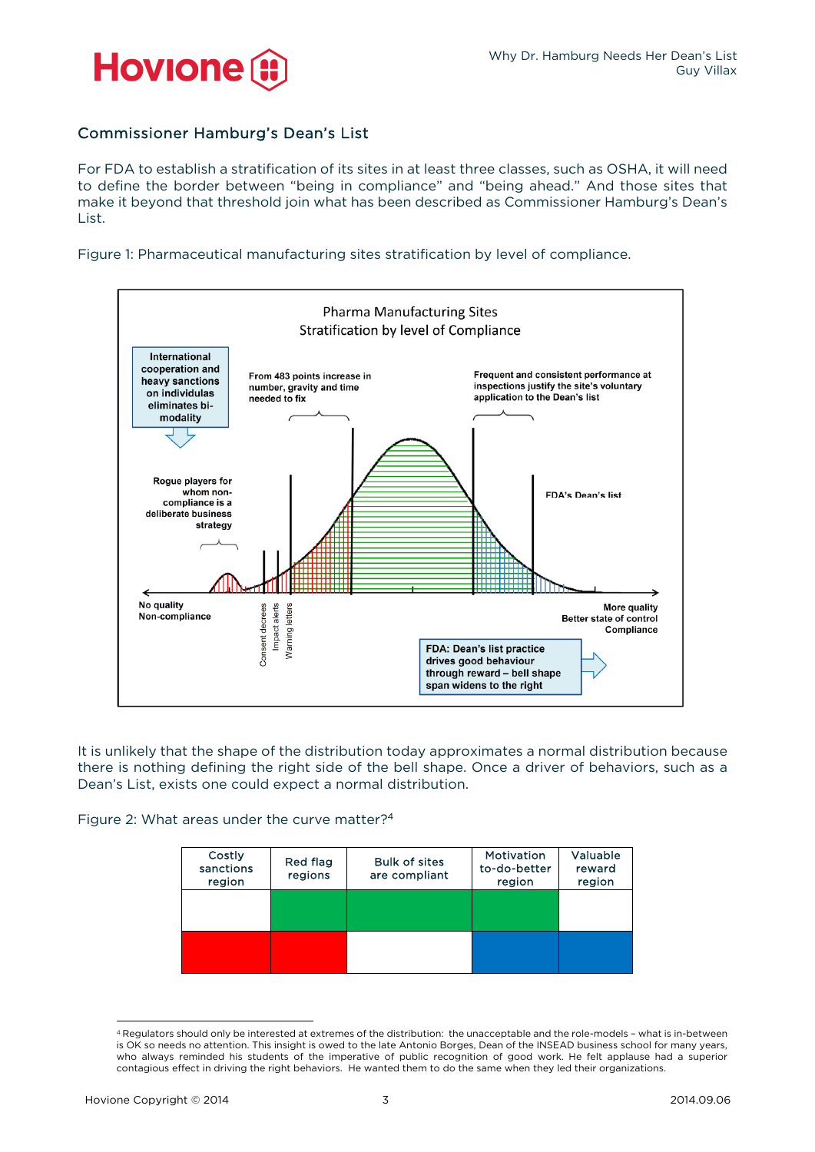

### Commissioner Hamburg's Dean's List

For FDA to establish a stratification of its sites in at least three classes, such as OSHA, it will need to define the border between "being in compliance" and "being ahead." And those sites that make it beyond that threshold join what has been described as Commissioner Hamburg's Dean's List.

Figure 1: Pharmaceutical manufacturing sites stratification by level of compliance.



It is unlikely that the shape of the distribution today approximates a normal distribution because there is nothing defining the right side of the bell shape. Once a driver of behaviors, such as a Dean's List, exists one could expect a normal distribution.

Figure 2: What areas under the curve matter?4

| Costly<br>sanctions<br>region | Red flag<br>regions | <b>Bulk of sites</b><br>are compliant | <b>Motivation</b><br>to-do-better<br>region | Valuable<br>reward<br>region |  |
|-------------------------------|---------------------|---------------------------------------|---------------------------------------------|------------------------------|--|
|                               |                     |                                       |                                             |                              |  |
|                               |                     |                                       |                                             |                              |  |

 <sup>4</sup> Regulators should only be interested at extremes of the distribution: the unacceptable and the role-models – what is in-between is OK so needs no attention. This insight is owed to the late Antonio Borges, Dean of the INSEAD business school for many years, who always reminded his students of the imperative of public recognition of good work. He felt applause had a superior contagious effect in driving the right behaviors. He wanted them to do the same when they led their organizations.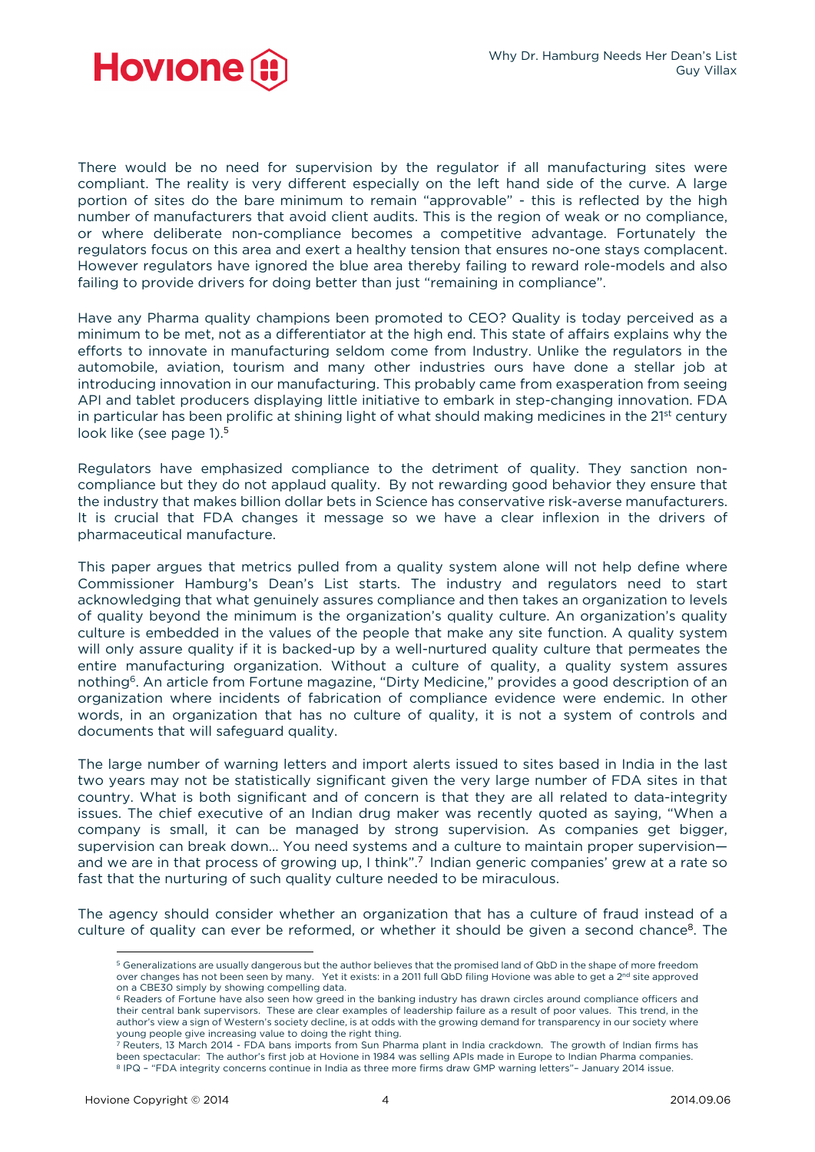

There would be no need for supervision by the regulator if all manufacturing sites were compliant. The reality is very different especially on the left hand side of the curve. A large portion of sites do the bare minimum to remain "approvable" - this is reflected by the high number of manufacturers that avoid client audits. This is the region of weak or no compliance, or where deliberate non-compliance becomes a competitive advantage. Fortunately the regulators focus on this area and exert a healthy tension that ensures no-one stays complacent. However regulators have ignored the blue area thereby failing to reward role-models and also failing to provide drivers for doing better than just "remaining in compliance".

Have any Pharma quality champions been promoted to CEO? Quality is today perceived as a minimum to be met, not as a differentiator at the high end. This state of affairs explains why the efforts to innovate in manufacturing seldom come from Industry. Unlike the regulators in the automobile, aviation, tourism and many other industries ours have done a stellar job at introducing innovation in our manufacturing. This probably came from exasperation from seeing API and tablet producers displaying little initiative to embark in step-changing innovation. FDA in particular has been prolific at shining light of what should making medicines in the 21<sup>st</sup> century look like (see page 1).<sup>5</sup>

Regulators have emphasized compliance to the detriment of quality. They sanction noncompliance but they do not applaud quality. By not rewarding good behavior they ensure that the industry that makes billion dollar bets in Science has conservative risk-averse manufacturers. It is crucial that FDA changes it message so we have a clear inflexion in the drivers of pharmaceutical manufacture.

This paper argues that metrics pulled from a quality system alone will not help define where Commissioner Hamburg's Dean's List starts. The industry and regulators need to start acknowledging that what genuinely assures compliance and then takes an organization to levels of quality beyond the minimum is the organization's quality culture. An organization's quality culture is embedded in the values of the people that make any site function. A quality system will only assure quality if it is backed-up by a well-nurtured quality culture that permeates the entire manufacturing organization. Without a culture of quality, a quality system assures nothing<sup>6</sup>. An article from Fortune magazine, "Dirty Medicine," provides a good description of an organization where incidents of fabrication of compliance evidence were endemic. In other words, in an organization that has no culture of quality, it is not a system of controls and documents that will safeguard quality.

The large number of warning letters and import alerts issued to sites based in India in the last two years may not be statistically significant given the very large number of FDA sites in that country. What is both significant and of concern is that they are all related to data-integrity issues. The chief executive of an Indian drug maker was recently quoted as saying, "When a company is small, it can be managed by strong supervision. As companies get bigger, supervision can break down… You need systems and a culture to maintain proper supervision and we are in that process of growing up, I think".<sup>7</sup> Indian generic companies' grew at a rate so fast that the nurturing of such quality culture needed to be miraculous.

The agency should consider whether an organization that has a culture of fraud instead of a culture of quality can ever be reformed, or whether it should be given a second chance<sup>8</sup>. The

<sup>5</sup> Generalizations are usually dangerous but the author believes that the promised land of QbD in the shape of more freedom over changes has not been seen by many. Yet it exists: in a 2011 full QbD filing Hovione was able to get a 2<sup>nd</sup> site approved

on a CBE30 simply by showing compelling data.<br><sup>6</sup> Readers of Fortune have also seen how greed in the banking industry has drawn circles around compliance officers and their central bank supervisors. These are clear examples of leadership failure as a result of poor values. This trend, in the author's view a sign of Western's society decline, is at odds with the growing demand for transparency in our society where young people give increasing value to doing the right thing.

Reuters, 13 March 2014 - FDA bans imports from Sun Pharma plant in India crackdown. The growth of Indian firms has been spectacular: The author's first job at Hovione in 1984 was selling APIs made in Europe to Indian Pharma companies.<br>8 IPQ - "FDA integrity concerns continue in India as three more firms draw GMP warning letters"- Janua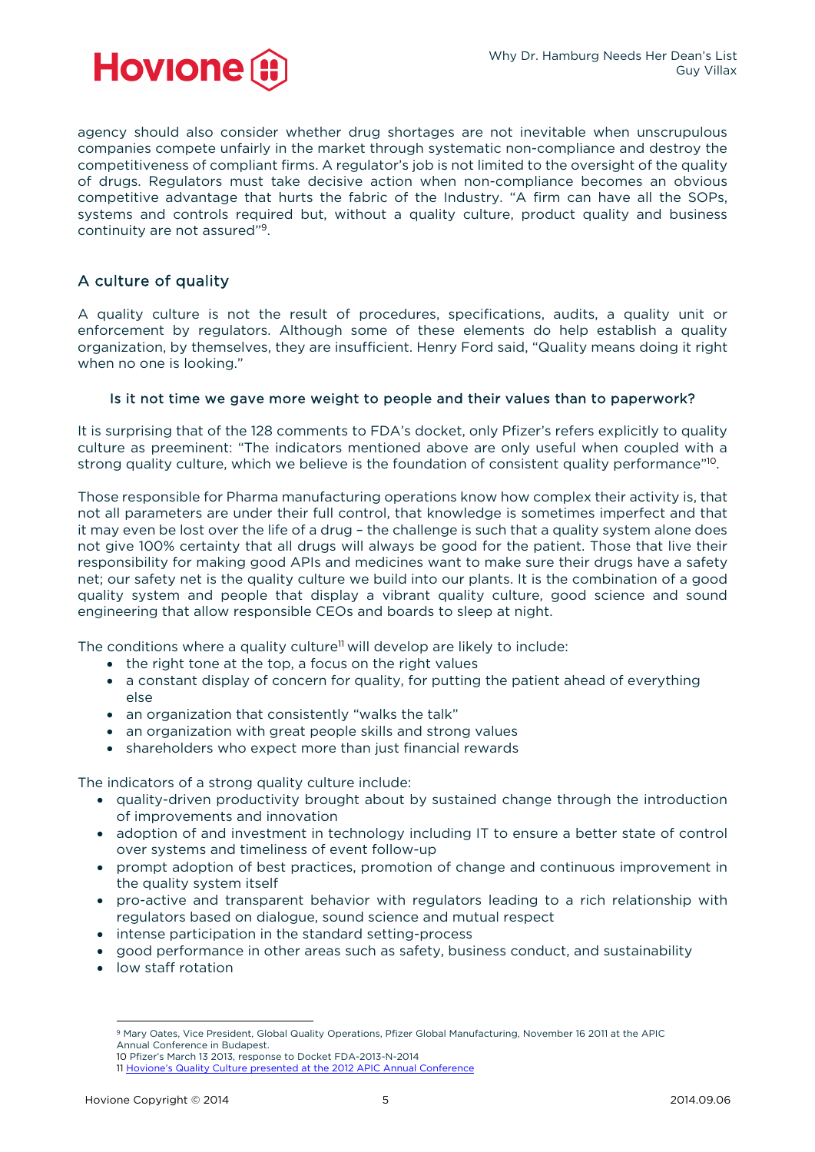

agency should also consider whether drug shortages are not inevitable when unscrupulous companies compete unfairly in the market through systematic non-compliance and destroy the competitiveness of compliant firms. A regulator's job is not limited to the oversight of the quality of drugs. Regulators must take decisive action when non-compliance becomes an obvious competitive advantage that hurts the fabric of the Industry. "A firm can have all the SOPs, systems and controls required but, without a quality culture, product quality and business continuity are not assured"9.

## A culture of quality

A quality culture is not the result of procedures, specifications, audits, a quality unit or enforcement by regulators. Although some of these elements do help establish a quality organization, by themselves, they are insufficient. Henry Ford said, "Quality means doing it right when no one is looking."

#### Is it not time we gave more weight to people and their values than to paperwork?

It is surprising that of the 128 comments to FDA's docket, only Pfizer's refers explicitly to quality culture as preeminent: "The indicators mentioned above are only useful when coupled with a strong quality culture, which we believe is the foundation of consistent quality performance"10.

Those responsible for Pharma manufacturing operations know how complex their activity is, that not all parameters are under their full control, that knowledge is sometimes imperfect and that it may even be lost over the life of a drug – the challenge is such that a quality system alone does not give 100% certainty that all drugs will always be good for the patient. Those that live their responsibility for making good APIs and medicines want to make sure their drugs have a safety net; our safety net is the quality culture we build into our plants. It is the combination of a good quality system and people that display a vibrant quality culture, good science and sound engineering that allow responsible CEOs and boards to sleep at night.

The conditions where a quality culture<sup>11</sup> will develop are likely to include:

- the right tone at the top, a focus on the right values
- a constant display of concern for quality, for putting the patient ahead of everything else
- an organization that consistently "walks the talk"
- an organization with great people skills and strong values
- shareholders who expect more than just financial rewards

The indicators of a strong quality culture include:

- quality-driven productivity brought about by sustained change through the introduction of improvements and innovation
- adoption of and investment in technology including IT to ensure a better state of control over systems and timeliness of event follow-up
- prompt adoption of best practices, promotion of change and continuous improvement in the quality system itself
- pro-active and transparent behavior with regulators leading to a rich relationship with regulators based on dialogue, sound science and mutual respect
- intense participation in the standard setting-process
- good performance in other areas such as safety, business conduct, and sustainability
- low staff rotation

 9 Mary Oates, Vice President, Global Quality Operations, Pfizer Global Manufacturing, November 16 2011 at the APIC Annual Conference in Budapest.

<sup>10</sup> Pfizer's March 13 2013, response to Docket FDA-2013-N-2014

<sup>11</sup> [Hovione's Quality Culture presented at the 2012 APIC Annual Conference](http://go.pardot.com/l/47122/2014-07-29/7pw3?open=http://go.pardot.com/l/47122/2014-09-16/mpjw/47122/16418/APIC_2012___Quality_Culture.pdf)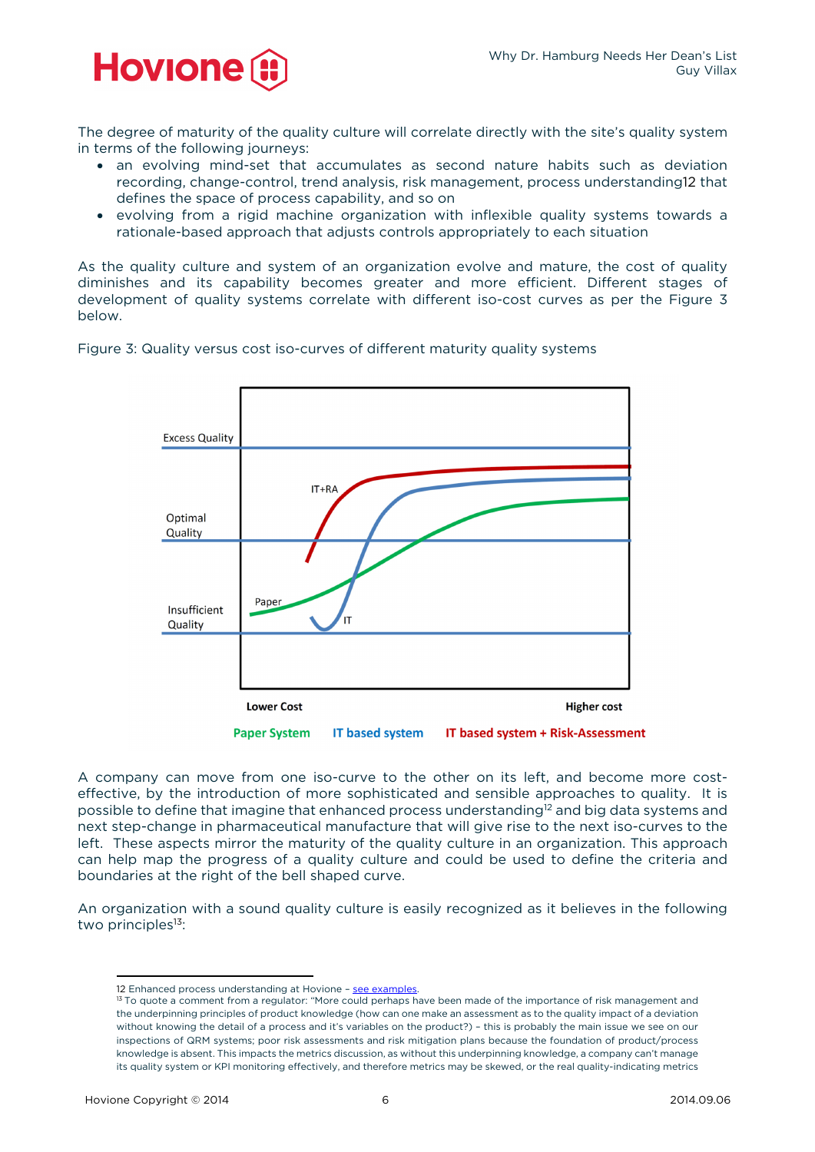

The degree of maturity of the quality culture will correlate directly with the site's quality system in terms of the following journeys:

- an evolving mind-set that accumulates as second nature habits such as deviation recording, change-control, trend analysis, risk management, process understanding12 that defines the space of process capability, and so on
- evolving from a rigid machine organization with inflexible quality systems towards a rationale-based approach that adjusts controls appropriately to each situation

As the quality culture and system of an organization evolve and mature, the cost of quality diminishes and its capability becomes greater and more efficient. Different stages of development of quality systems correlate with different iso-cost curves as per the Figure 3 below.





A company can move from one iso-curve to the other on its left, and become more costeffective, by the introduction of more sophisticated and sensible approaches to quality. It is possible to define that imagine that enhanced process understanding<sup>12</sup> and big data systems and next step-change in pharmaceutical manufacture that will give rise to the next iso-curves to the left. These aspects mirror the maturity of the quality culture in an organization. This approach can help map the progress of a quality culture and could be used to define the criteria and boundaries at the right of the bell shaped curve.

An organization with a sound quality culture is easily recognized as it believes in the following two principles<sup>13</sup>:

<sup>12</sup> Enhanced process understanding at Hovione – see examples.<br><sup>13</sup> To quote a comment from a regulator: "More could perhaps have been made of the importance of risk management and the underpinning principles of product knowledge (how can one make an assessment as to the quality impact of a deviation without knowing the detail of a process and it's variables on the product?) – this is probably the main issue we see on our inspections of QRM systems; poor risk assessments and risk mitigation plans because the foundation of product/process knowledge is absent. This impacts the metrics discussion, as without this underpinning knowledge, a company can't manage its quality system or KPI monitoring effectively, and therefore metrics may be skewed, or the real quality-indicating metrics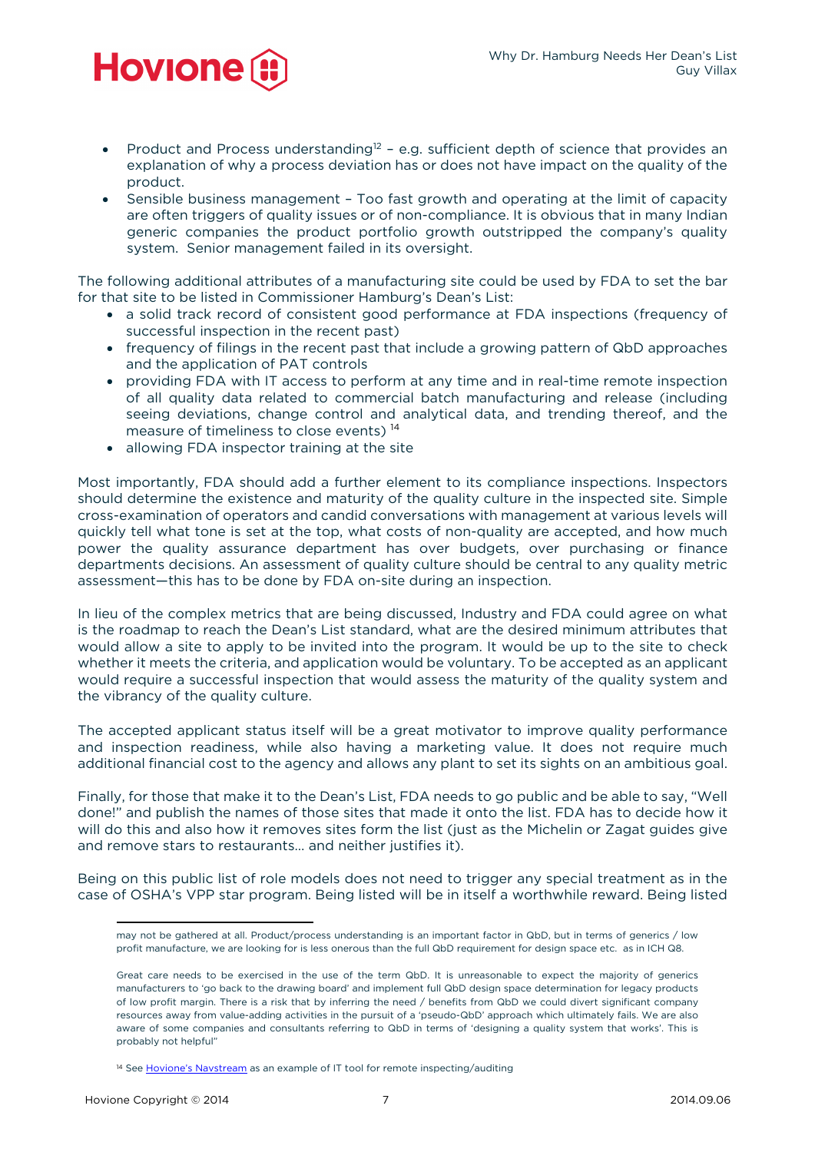

- Product and Process understanding<sup>12</sup> e.g. sufficient depth of science that provides an explanation of why a process deviation has or does not have impact on the quality of the product.
- Sensible business management Too fast growth and operating at the limit of capacity are often triggers of quality issues or of non-compliance. It is obvious that in many Indian generic companies the product portfolio growth outstripped the company's quality system. Senior management failed in its oversight.

The following additional attributes of a manufacturing site could be used by FDA to set the bar for that site to be listed in Commissioner Hamburg's Dean's List:

- a solid track record of consistent good performance at FDA inspections (frequency of successful inspection in the recent past)
- frequency of filings in the recent past that include a growing pattern of QbD approaches and the application of PAT controls
- providing FDA with IT access to perform at any time and in real-time remote inspection of all quality data related to commercial batch manufacturing and release (including seeing deviations, change control and analytical data, and trending thereof, and the measure of timeliness to close events) 14
- allowing FDA inspector training at the site

Most importantly, FDA should add a further element to its compliance inspections. Inspectors should determine the existence and maturity of the quality culture in the inspected site. Simple cross-examination of operators and candid conversations with management at various levels will quickly tell what tone is set at the top, what costs of non-quality are accepted, and how much power the quality assurance department has over budgets, over purchasing or finance departments decisions. An assessment of quality culture should be central to any quality metric assessment—this has to be done by FDA on-site during an inspection.

In lieu of the complex metrics that are being discussed, Industry and FDA could agree on what is the roadmap to reach the Dean's List standard, what are the desired minimum attributes that would allow a site to apply to be invited into the program. It would be up to the site to check whether it meets the criteria, and application would be voluntary. To be accepted as an applicant would require a successful inspection that would assess the maturity of the quality system and the vibrancy of the quality culture.

The accepted applicant status itself will be a great motivator to improve quality performance and inspection readiness, while also having a marketing value. It does not require much additional financial cost to the agency and allows any plant to set its sights on an ambitious goal.

Finally, for those that make it to the Dean's List, FDA needs to go public and be able to say, "Well done!" and publish the names of those sites that made it onto the list. FDA has to decide how it will do this and also how it removes sites form the list (just as the Michelin or Zagat guides give and remove stars to restaurants… and neither justifies it).

Being on this public list of role models does not need to trigger any special treatment as in the case of OSHA's VPP star program. Being listed will be in itself a worthwhile reward. Being listed

 may not be gathered at all. Product/process understanding is an important factor in QbD, but in terms of generics / low profit manufacture, we are looking for is less onerous than the full QbD requirement for design space etc. as in ICH Q8.

Great care needs to be exercised in the use of the term QbD. It is unreasonable to expect the majority of generics manufacturers to 'go back to the drawing board' and implement full QbD design space determination for legacy products of low profit margin. There is a risk that by inferring the need / benefits from QbD we could divert significant company resources away from value-adding activities in the pursuit of a 'pseudo-QbD' approach which ultimately fails. We are also aware of some companies and consultants referring to QbD in terms of 'designing a quality system that works'. This is probably not helpful"

<sup>14</sup> See [Hovione's Navstream](http://go.pardot.com/l/47122/2014-07-29/7pw3?open=http://www.hovione.com/customers) as an example of IT tool for remote inspecting/auditing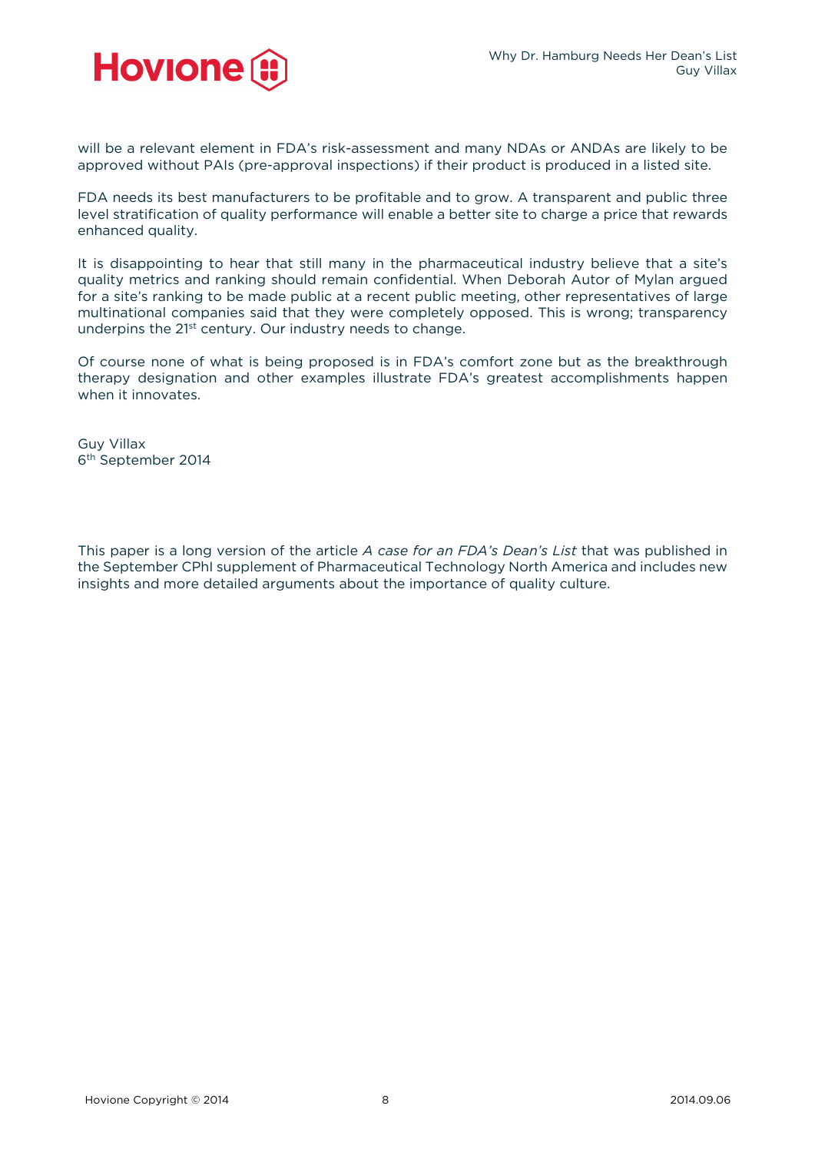

will be a relevant element in FDA's risk-assessment and many NDAs or ANDAs are likely to be approved without PAIs (pre-approval inspections) if their product is produced in a listed site.

FDA needs its best manufacturers to be profitable and to grow. A transparent and public three level stratification of quality performance will enable a better site to charge a price that rewards enhanced quality.

It is disappointing to hear that still many in the pharmaceutical industry believe that a site's quality metrics and ranking should remain confidential. When Deborah Autor of Mylan argued for a site's ranking to be made public at a recent public meeting, other representatives of large multinational companies said that they were completely opposed. This is wrong; transparency underpins the 21<sup>st</sup> century. Our industry needs to change.

Of course none of what is being proposed is in FDA's comfort zone but as the breakthrough therapy designation and other examples illustrate FDA's greatest accomplishments happen when it innovates.

Guy Villax 6th September 2014

This paper is a long version of the article *A case for an FDA's Dean's List* that was published in the September CPhI supplement of Pharmaceutical Technology North America and includes new insights and more detailed arguments about the importance of quality culture.